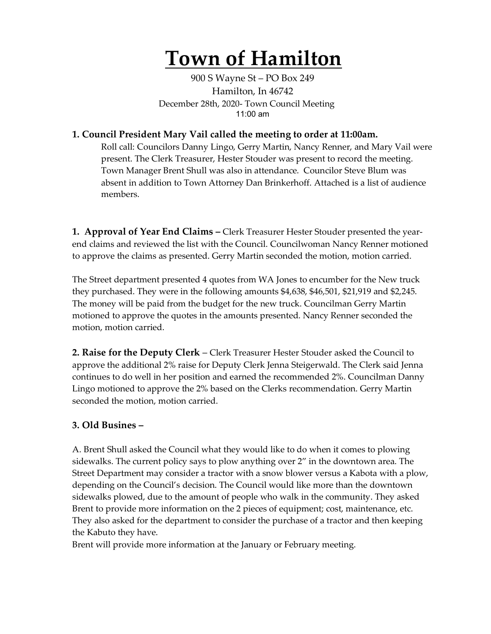# **Town of Hamilton**

900 S Wayne St – PO Box 249 Hamilton, In 46742 December 28th, 2020- Town Council Meeting 11:00 am

### **1. Council President Mary Vail called the meeting to order at 11:00am.**

Roll call: Councilors Danny Lingo, Gerry Martin, Nancy Renner, and Mary Vail were present. The Clerk Treasurer, Hester Stouder was present to record the meeting. Town Manager Brent Shull was also in attendance. Councilor Steve Blum was absent in addition to Town Attorney Dan Brinkerhoff. Attached is a list of audience members.

**1. Approval of Year End Claims –** Clerk Treasurer Hester Stouder presented the yearend claims and reviewed the list with the Council. Councilwoman Nancy Renner motioned to approve the claims as presented. Gerry Martin seconded the motion, motion carried.

The Street department presented 4 quotes from WA Jones to encumber for the New truck they purchased. They were in the following amounts \$4,638, \$46,501, \$21,919 and \$2,245. The money will be paid from the budget for the new truck. Councilman Gerry Martin motioned to approve the quotes in the amounts presented. Nancy Renner seconded the motion, motion carried.

**2. Raise for the Deputy Clerk** – Clerk Treasurer Hester Stouder asked the Council to approve the additional 2% raise for Deputy Clerk Jenna Steigerwald. The Clerk said Jenna continues to do well in her position and earned the recommended 2%. Councilman Danny Lingo motioned to approve the 2% based on the Clerks recommendation. Gerry Martin seconded the motion, motion carried.

#### **3. Old Busines –**

A. Brent Shull asked the Council what they would like to do when it comes to plowing sidewalks. The current policy says to plow anything over 2" in the downtown area. The Street Department may consider a tractor with a snow blower versus a Kabota with a plow, depending on the Council's decision. The Council would like more than the downtown sidewalks plowed, due to the amount of people who walk in the community. They asked Brent to provide more information on the 2 pieces of equipment; cost, maintenance, etc. They also asked for the department to consider the purchase of a tractor and then keeping the Kabuto they have.

Brent will provide more information at the January or February meeting.